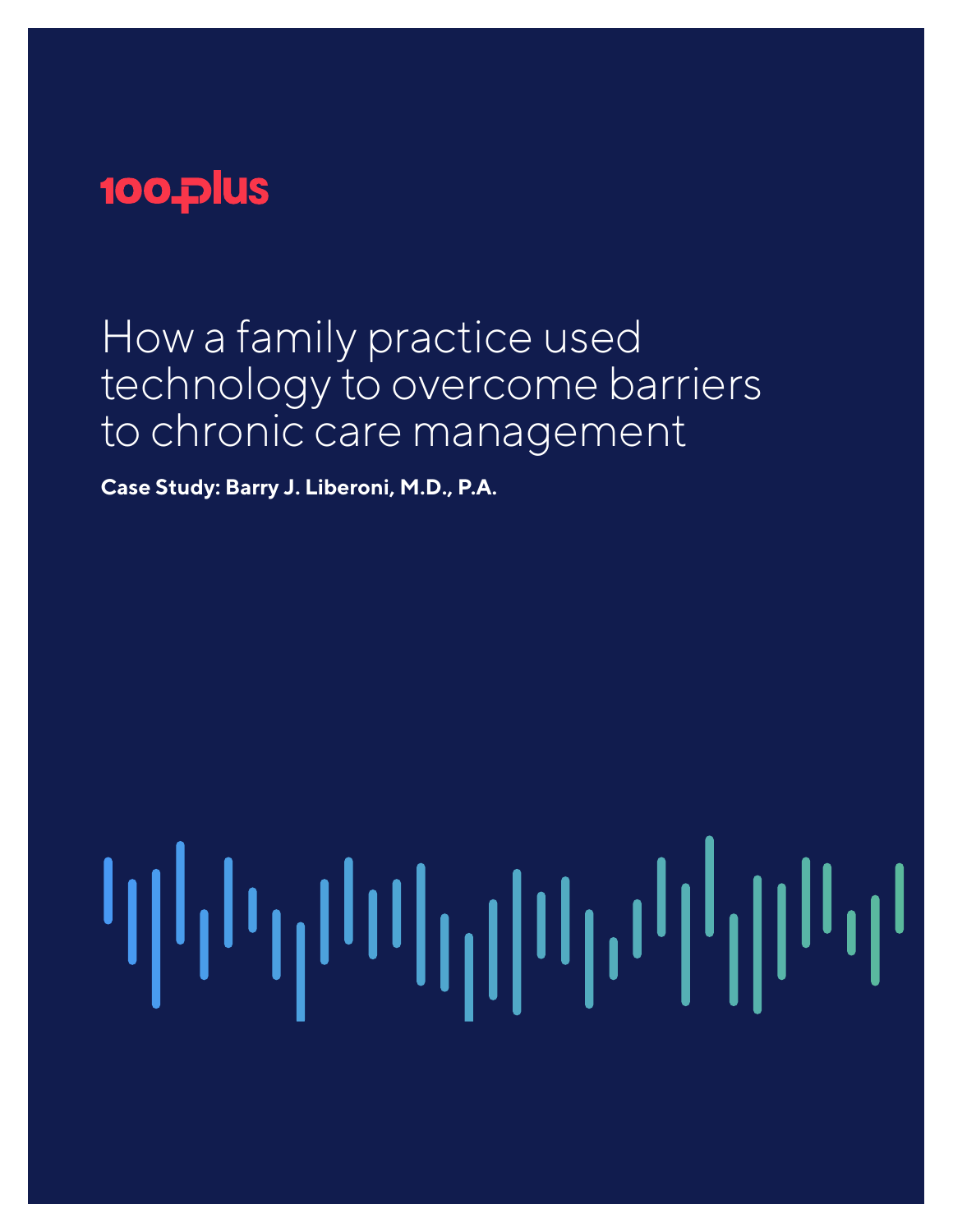# 100 plus

How a family practice used technology to overcome barriers to chronic care management

**Case Study: Barry J. Liberoni, M.D., P.A.**

#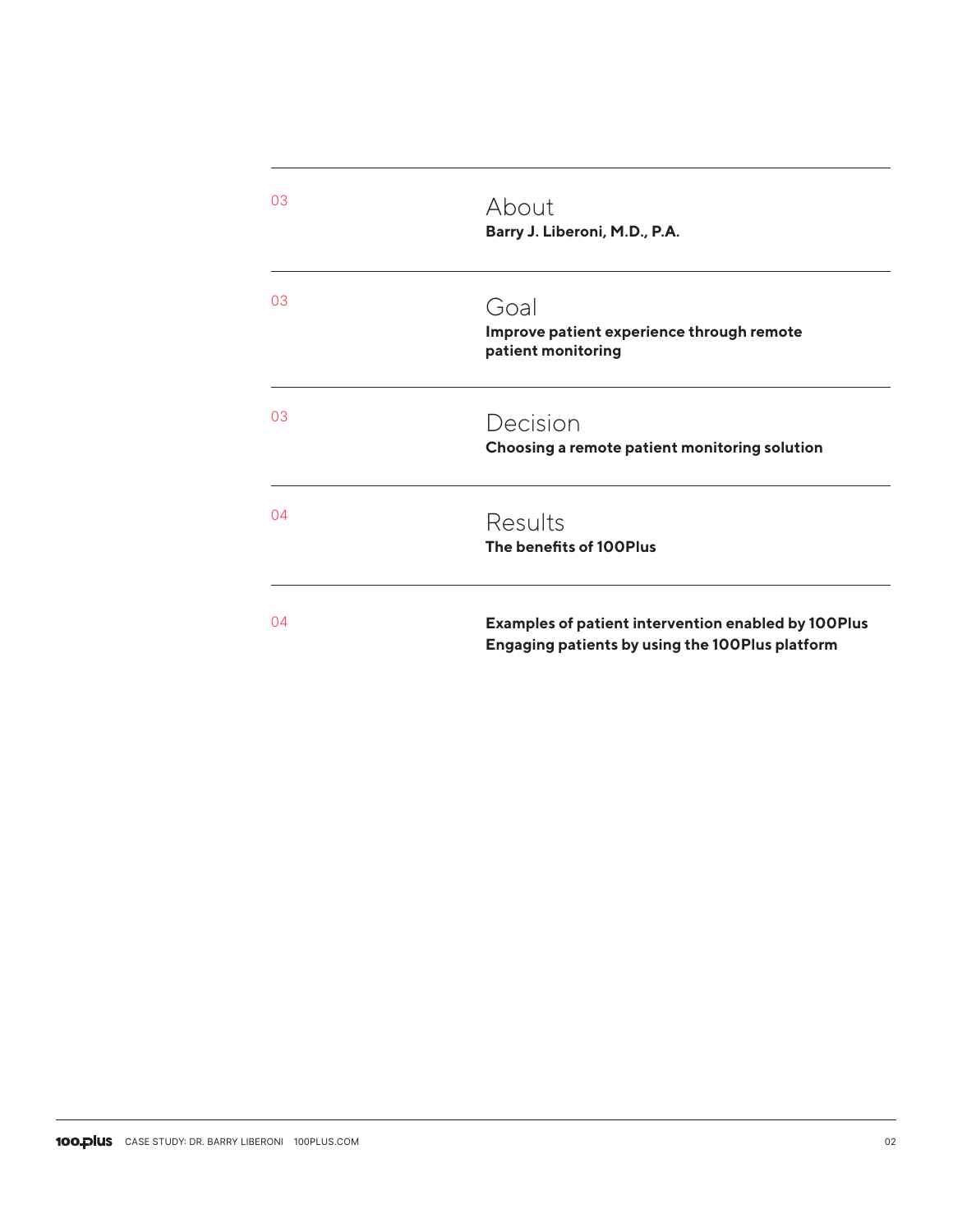| 03 | About<br>Barry J. Liberoni, M.D., P.A.                                                                        |
|----|---------------------------------------------------------------------------------------------------------------|
| 03 | Goal<br>Improve patient experience through remote<br>patient monitoring                                       |
| 03 | Decision<br>Choosing a remote patient monitoring solution                                                     |
| 04 | Results<br>The benefits of 100Plus                                                                            |
| 04 | <b>Examples of patient intervention enabled by 100Plus</b><br>Engaging patients by using the 100Plus platform |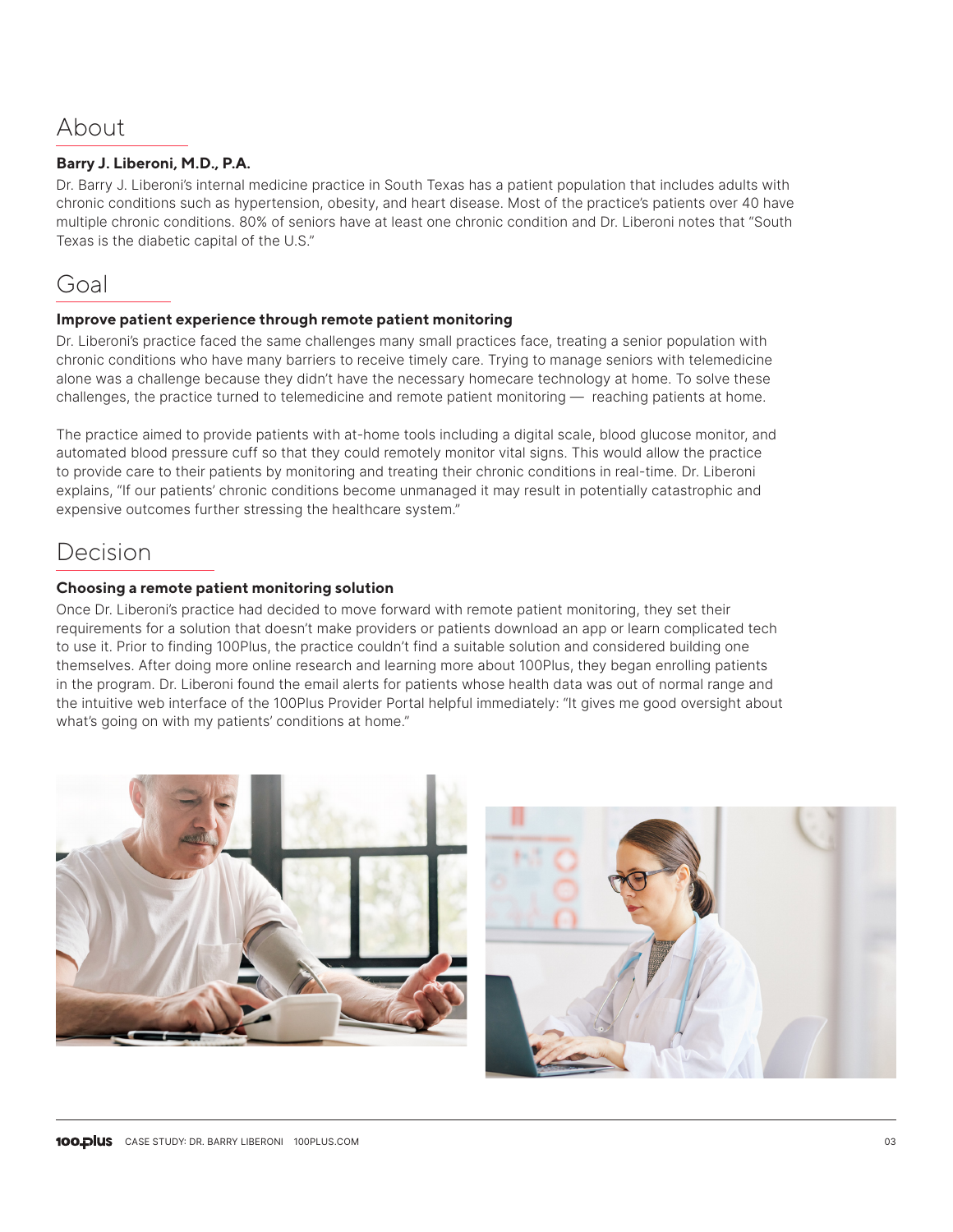# About

## **Barry J. Liberoni, M.D., P.A.**

Dr. Barry J. Liberoni's internal medicine practice in South Texas has a patient population that includes adults with chronic conditions such as hypertension, obesity, and heart disease. Most of the practice's patients over 40 have multiple chronic conditions. 80% of seniors have at least one chronic condition and Dr. Liberoni notes that "South Texas is the diabetic capital of the U.S."

# Goal

### **Improve patient experience through remote patient monitoring**

Dr. Liberoni's practice faced the same challenges many small practices face, treating a senior population with chronic conditions who have many barriers to receive timely care. Trying to manage seniors with telemedicine alone was a challenge because they didn't have the necessary homecare technology at home. To solve these challenges, the practice turned to telemedicine and remote patient monitoring — reaching patients at home.

The practice aimed to provide patients with at-home tools including a digital scale, blood glucose monitor, and automated blood pressure cuff so that they could remotely monitor vital signs. This would allow the practice to provide care to their patients by monitoring and treating their chronic conditions in real-time. Dr. Liberoni explains, "If our patients' chronic conditions become unmanaged it may result in potentially catastrophic and expensive outcomes further stressing the healthcare system."

# Decision

### **Choosing a remote patient monitoring solution**

Once Dr. Liberoni's practice had decided to move forward with remote patient monitoring, they set their requirements for a solution that doesn't make providers or patients download an app or learn complicated tech to use it. Prior to finding 100Plus, the practice couldn't find a suitable solution and considered building one themselves. After doing more online research and learning more about 100Plus, they began enrolling patients in the program. Dr. Liberoni found the email alerts for patients whose health data was out of normal range and the intuitive web interface of the 100Plus Provider Portal helpful immediately: "It gives me good oversight about what's going on with my patients' conditions at home."